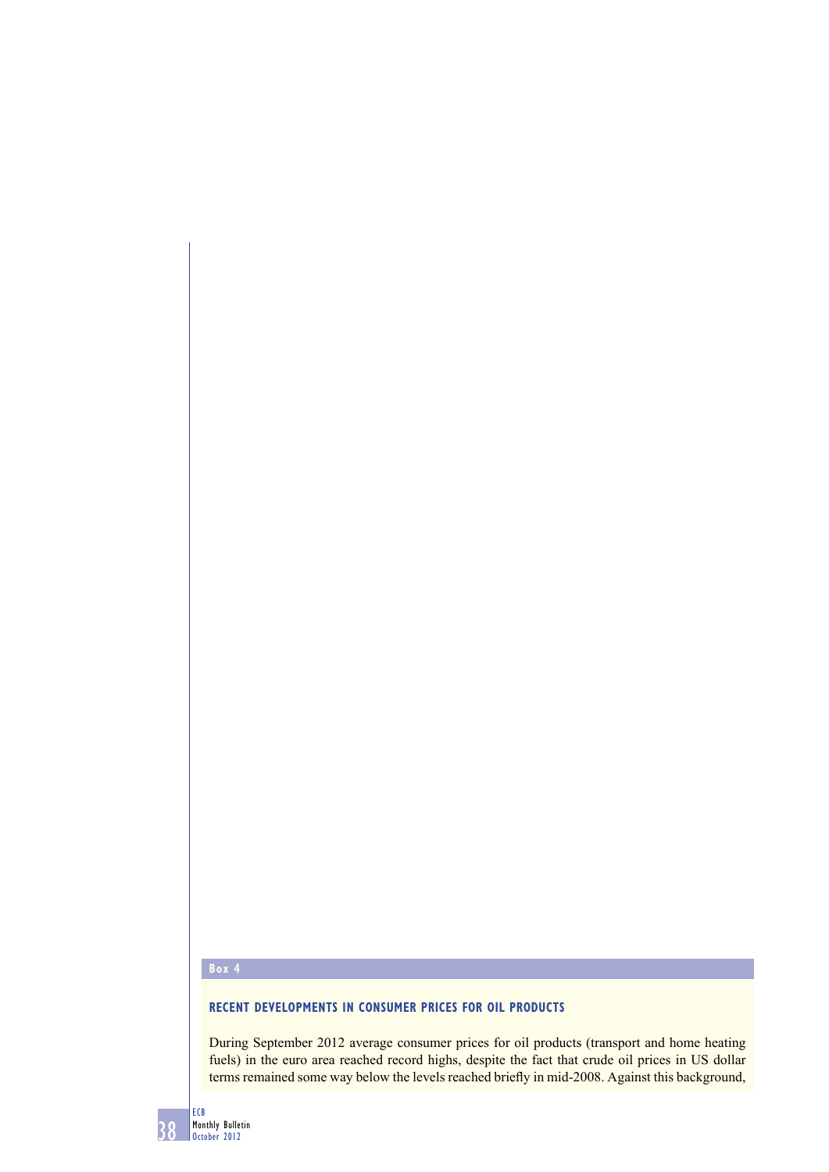# **Box 4**

#### **RECENT DEVELOPMENTS IN CONSUMER PRICES FOR OIL PRODUCTS**

During September 2012 average consumer prices for oil products (transport and home heating fuels) in the euro area reached record highs, despite the fact that crude oil prices in US dollar terms remained some way below the levels reached briefly in mid-2008. Against this background,

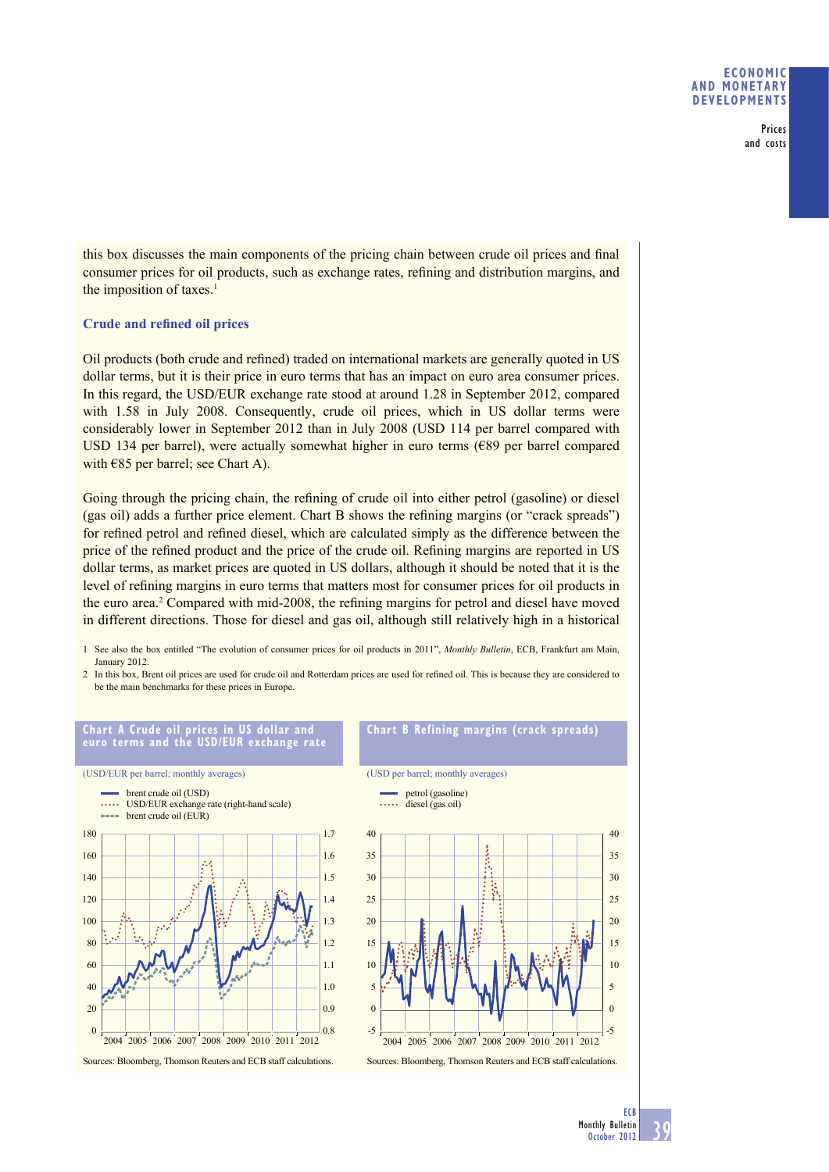#### **ECONOMIC AND MONETARY DEVELOPMENTS**

Prices and costs

this box discusses the main components of the pricing chain between crude oil prices and final consumer prices for oil products, such as exchange rates, refining and distribution margins, and the imposition of taxes. $<sup>1</sup>$ </sup>

### **Crude and refined oil prices**

Oil products (both crude and refined) traded on international markets are generally quoted in US dollar terms, but it is their price in euro terms that has an impact on euro area consumer prices. In this regard, the USD/EUR exchange rate stood at around 1.28 in September 2012, compared with 1.58 in July 2008. Consequently, crude oil prices, which in US dollar terms were considerably lower in September 2012 than in July 2008 (USD 114 per barrel compared with USD 134 per barrel), were actually somewhat higher in euro terms ( $\epsilon$ 89 per barrel compared with  $€85$  per barrel; see Chart A).

Going through the pricing chain, the refining of crude oil into either petrol (gasoline) or diesel (gas oil) adds a further price element. Chart B shows the refining margins (or "crack spreads") for refined petrol and refined diesel, which are calculated simply as the difference between the price of the refined product and the price of the crude oil. Refining margins are reported in US dollar terms, as market prices are quoted in US dollars, although it should be noted that it is the level of refining margins in euro terms that matters most for consumer prices for oil products in the euro area.<sup>2</sup> Compared with mid-2008, the refining margins for petrol and diesel have moved in different directions. Those for diesel and gas oil, although still relatively high in a historical

- 1 See also the box entitled "The evolution of consumer prices for oil products in 2011", *Monthly Bulletin*, ECB, Frankfurt am Main, January 2012.
- 2 In this box, Brent oil prices are used for crude oil and Rotterdam prices are used for refined oil. This is because they are considered to be the main benchmarks for these prices in Europe.



**Chart A Crude oil prices in US dollar and** 

#### **Chart B Refining margins (crack spreads)**

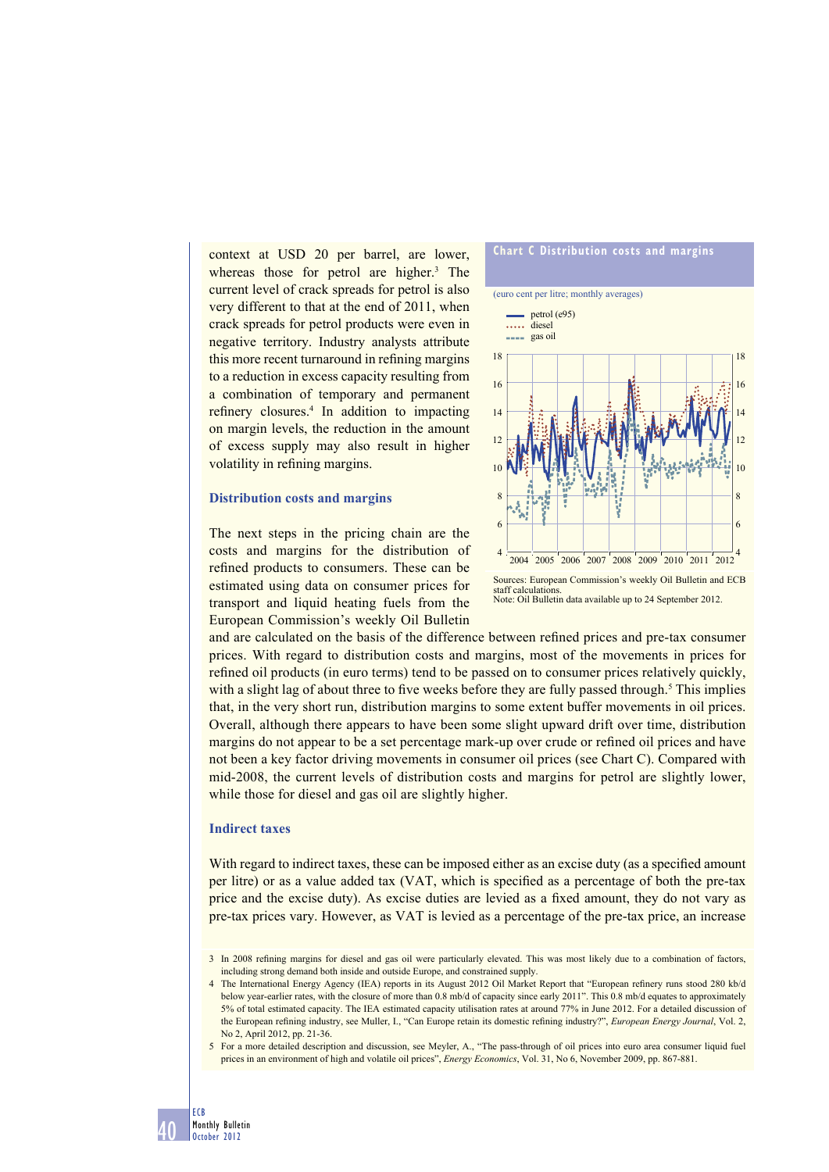context at USD 20 per barrel, are lower, whereas those for petrol are higher.<sup>3</sup> The current level of crack spreads for petrol is also very different to that at the end of 2011, when crack spreads for petrol products were even in negative territory. Industry analysts attribute this more recent turnaround in refining margins to a reduction in excess capacity resulting from a combination of temporary and permanent refinery closures.<sup>4</sup> In addition to impacting on margin levels, the reduction in the amount of excess supply may also result in higher volatility in refining margins.

#### **Distribution costs and margins**





staff calculation Note: Oil Bulletin data available up to 24 September 2012.

and are calculated on the basis of the difference between refined prices and pre-tax consumer prices. With regard to distribution costs and margins, most of the movements in prices for refined oil products (in euro terms) tend to be passed on to consumer prices relatively quickly, with a slight lag of about three to five weeks before they are fully passed through.<sup>5</sup> This implies that, in the very short run, distribution margins to some extent buffer movements in oil prices. Overall, although there appears to have been some slight upward drift over time, distribution margins do not appear to be a set percentage mark-up over crude or refined oil prices and have not been a key factor driving movements in consumer oil prices (see Chart C). Compared with mid-2008, the current levels of distribution costs and margins for petrol are slightly lower, while those for diesel and gas oil are slightly higher.

#### **Indirect taxes**

With regard to indirect taxes, these can be imposed either as an excise duty (as a specified amount per litre) or as a value added tax (VAT, which is specified as a percentage of both the pre-tax price and the excise duty). As excise duties are levied as a fi xed amount, they do not vary as pre-tax prices vary. However, as VAT is levied as a percentage of the pre-tax price, an increase

<sup>3</sup> In 2008 refining margins for diesel and gas oil were particularly elevated. This was most likely due to a combination of factors, including strong demand both inside and outside Europe, and constrained supply.

<sup>4</sup> The International Energy Agency (IEA) reports in its August 2012 Oil Market Report that "European refinery runs stood 280 kb/d below year-earlier rates, with the closure of more than 0.8 mb/d of capacity since early 2011". This 0.8 mb/d equates to approximately 5% of total estimated capacity. The IEA estimated capacity utilisation rates at around 77% in June 2012. For a detailed discussion of the European refining industry, see Muller, I., "Can Europe retain its domestic refining industry?", *European Energy Journal*, Vol. 2, No 2, April 2012, pp. 21-36.

<sup>5</sup> For a more detailed description and discussion, see Meyler, A., "The pass-through of oil prices into euro area consumer liquid fuel prices in an environment of high and volatile oil prices", *Energy Economics*, Vol. 31, No 6, November 2009, pp. 867-881.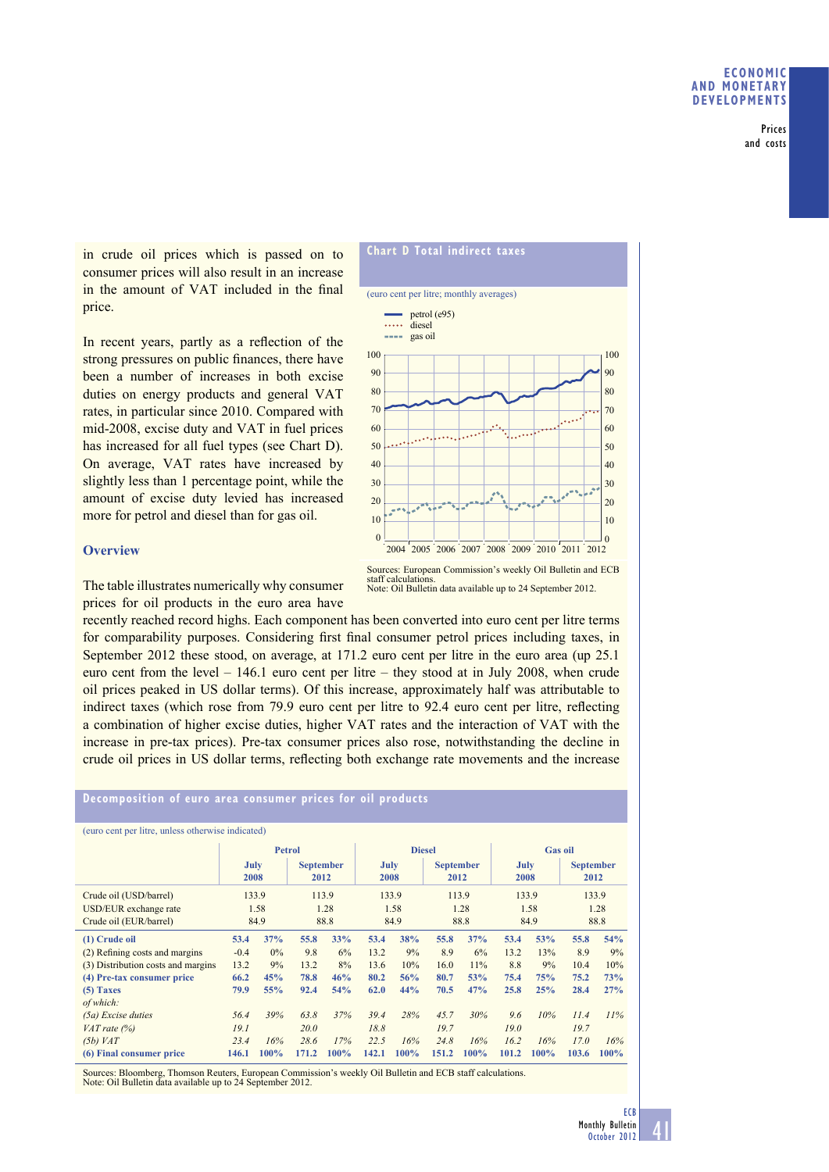Prices and costs

in crude oil prices which is passed on to consumer prices will also result in an increase in the amount of VAT included in the final price.

In recent years, partly as a reflection of the strong pressures on public finances, there have been a number of increases in both excise duties on energy products and general VAT rates, in particular since 2010. Compared with mid-2008, excise duty and VAT in fuel prices has increased for all fuel types (see Chart D). On average, VAT rates have increased by slightly less than 1 percentage point, while the amount of excise duty levied has increased more for petrol and diesel than for gas oil.

#### **Overview**

The table illustrates numerically why consumer prices for oil products in the euro area have

recently reached record highs. Each component has been converted into euro cent per litre terms for comparability purposes. Considering first final consumer petrol prices including taxes, in September 2012 these stood, on average, at 171.2 euro cent per litre in the euro area (up 25.1 euro cent from the level – 146.1 euro cent per litre – they stood at in July 2008, when crude oil prices peaked in US dollar terms). Of this increase, approximately half was attributable to indirect taxes (which rose from 79.9 euro cent per litre to 92.4 euro cent per litre, reflecting a combination of higher excise duties, higher VAT rates and the interaction of VAT with the increase in pre-tax prices). Pre-tax consumer prices also rose, notwithstanding the decline in crude oil prices in US dollar terms, reflecting both exchange rate movements and the increase

## **Decomposition of euro area consumer prices for oil products**

| (euro cent per litre, unless otherwise indicated) |               |       |                          |               |              |      |                          |                |              |      |                          |         |
|---------------------------------------------------|---------------|-------|--------------------------|---------------|--------------|------|--------------------------|----------------|--------------|------|--------------------------|---------|
|                                                   | <b>Petrol</b> |       |                          | <b>Diesel</b> |              |      |                          | <b>Gas oil</b> |              |      |                          |         |
|                                                   | July<br>2008  |       | <b>September</b><br>2012 |               | July<br>2008 |      | <b>September</b><br>2012 |                | July<br>2008 |      | <b>September</b><br>2012 |         |
| Crude oil (USD/barrel)                            | 133.9         |       | 113.9                    |               | 133.9        |      | 113.9                    |                | 133.9        |      | 133.9                    |         |
| USD/EUR exchange rate                             | 1.58          |       | 1.28                     |               | 1.58         |      | 1.28                     |                | 1.58         |      | 1.28                     |         |
| Crude oil (EUR/barrel)                            | 84.9          |       | 88.8                     |               | 84.9         |      | 88.8                     |                | 84.9         |      | 88.8                     |         |
| (1) Crude oil                                     | 53.4          | 37%   | 55.8                     | 33%           | 53.4         | 38%  | 55.8                     | 37%            | 53.4         | 53%  | 55.8                     | 54%     |
| (2) Refining costs and margins                    | $-0.4$        | $0\%$ | 9.8                      | 6%            | 13.2         | 9%   | 8.9                      | 6%             | 13.2         | 13%  | 8.9                      | 9%      |
| (3) Distribution costs and margins                | 13.2          | 9%    | 13.2                     | 8%            | 13.6         | 10%  | 16.0                     | 11%            | 8.8          | 9%   | 10.4                     | 10%     |
| (4) Pre-tax consumer price                        | 66.2          | 45%   | 78.8                     | 46%           | 80.2         | 56%  | 80.7                     | 53%            | 75.4         | 75%  | 75.2                     | 73%     |
| $(5)$ Taxes                                       | 79.9          | 55%   | 92.4                     | 54%           | 62.0         | 44%  | 70.5                     | 47%            | 25.8         | 25%  | 28.4                     | 27%     |
| of which:                                         |               |       |                          |               |              |      |                          |                |              |      |                          |         |
| (5a) Excise duties                                | 56.4          | 39%   | 63.8                     | 37%           | 39.4         | 28%  | 45.7                     | 30%            | 9.6          | 10%  | 11.4                     | 11%     |
| $VAT$ rate $(\%)$                                 | 19.1          |       | 20.0                     |               | 18.8         |      | 19.7                     |                | 19.0         |      | 19.7                     |         |
| $(5b)$ VAT                                        | 23.4          | 16%   | 28.6                     | 17%           | 22.5         | 16%  | 24.8                     | 16%            | 16.2         | 16%  | 17.0                     | 16%     |
| (6) Final consumer price                          | 146.1         | 100%  | 171.2                    | 100%          | 142.1        | 100% | 151.2                    | 100%           | 101.2        | 100% | 103.6                    | $100\%$ |

Sources: Bloomberg, Thomson Reuters, European Commission's weekly Oil Bulletin and ECB staff calculations. Note: Oil Bulletin data available up to 24 September 2012.



Sources: European Commission's weekly Oil Bulletin and ECB staff calculations. Note: Oil Bulletin data available up to 24 September 2012.